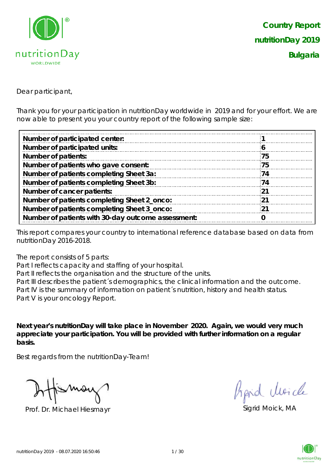

Dear participant,

Thank you for your participation in nutritionDay worldwide in 2019 and for your effort. We are now able to present you your country report of the following sample size:

| 75  |  |
|-----|--|
| 75  |  |
| 74  |  |
| 74  |  |
| -21 |  |
| -21 |  |
| -21 |  |
|     |  |
|     |  |

This report compares your country to international reference database based on data from nutritionDay 2016-2018.

The report consists of 5 parts:

Part I reflects capacity and staffing of your hospital.

Part II reflects the organisation and the structure of the units.

Part III describes the patient's demographics, the clinical information and the outcome. Part IV is the summary of information on patient´s nutrition, history and health status. Part V is your oncology Report.

**Next year's nutritionDay will take place in November 2020. Again, we would very much appreciate your participation. You will be provided with further information on a regular basis.**

Best regards from the nutritionDay-Team!

Prof. Dr. Michael Hiesmayr Sigrid Moick, MA

fipid Moich

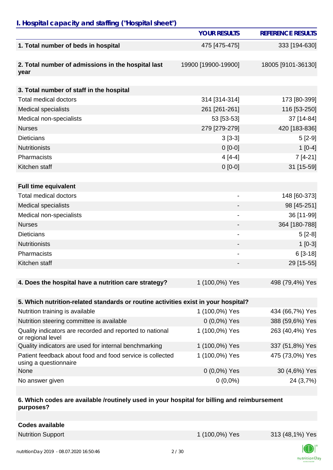## *I. Hospital capacity and staffing ("Hospital sheet")*

|                                                                                    | <b>YOUR RESULTS</b>          | <b>REFERENCE RESULTS</b> |
|------------------------------------------------------------------------------------|------------------------------|--------------------------|
| 1. Total number of beds in hospital                                                | 475 [475-475]                | 333 [194-630]            |
|                                                                                    |                              |                          |
| 2. Total number of admissions in the hospital last<br>year                         | 19900 [19900-19900]          | 18005 [9101-36130]       |
|                                                                                    |                              |                          |
| 3. Total number of staff in the hospital                                           |                              |                          |
| <b>Total medical doctors</b>                                                       | 314 [314-314]                | 173 [80-399]             |
| <b>Medical specialists</b>                                                         | 261 [261-261]                | 116 [53-250]             |
| Medical non-specialists                                                            | 53 [53-53]                   | 37 [14-84]               |
| <b>Nurses</b>                                                                      | 279 [279-279]                | 420 [183-836]            |
| <b>Dieticians</b>                                                                  | $3[3-3]$                     | $5[2-9]$                 |
| <b>Nutritionists</b>                                                               | $0[0-0]$                     | $1[0-4]$                 |
| Pharmacists                                                                        | $4[4-4]$                     | $7[4-21]$                |
| Kitchen staff                                                                      | $0 [0-0]$                    | 31 [15-59]               |
|                                                                                    |                              |                          |
| <b>Full time equivalent</b>                                                        |                              |                          |
| <b>Total medical doctors</b>                                                       | $\qquad \qquad \blacksquare$ | 148 [60-373]             |
| <b>Medical specialists</b>                                                         |                              | 98 [45-251]              |
| Medical non-specialists                                                            | $\qquad \qquad \blacksquare$ | 36 [11-99]               |
| <b>Nurses</b>                                                                      |                              | 364 [180-788]            |
| <b>Dieticians</b>                                                                  | -                            | $5[2-8]$                 |
| <b>Nutritionists</b>                                                               |                              | $1[0-3]$                 |
| Pharmacists                                                                        |                              | $6[3-18]$                |
| Kitchen staff                                                                      |                              | 29 [15-55]               |
|                                                                                    |                              |                          |
| 4. Does the hospital have a nutrition care strategy?                               | 1 (100,0%) Yes               | 498 (79,4%) Yes          |
|                                                                                    |                              |                          |
| 5. Which nutrition-related standards or routine activities exist in your hospital? |                              |                          |
| Nutrition training is available                                                    | 1 (100,0%) Yes               | 434 (66,7%) Yes          |
| Nutrition steering committee is available                                          | $0(0,0\%)$ Yes               | 388 (59,6%) Yes          |
| Quality indicators are recorded and reported to national<br>or regional level      | 1 (100,0%) Yes               | 263 (40,4%) Yes          |
| Quality indicators are used for internal benchmarking                              | 1 (100,0%) Yes               | 337 (51,8%) Yes          |
| Patient feedback about food and food service is collected                          | 1 (100,0%) Yes               | 475 (73,0%) Yes          |

| 30 (4,6%) Yes<br>$0(0,0\%)$ Yes |
|---------------------------------|
| 24 (3,7%)<br>$0(0,0\%)$         |
|                                 |

#### **6. Which codes are available /routinely used in your hospital for billing and reimbursement purposes?**

| Codes available          |                |                 |
|--------------------------|----------------|-----------------|
| <b>Nutrition Support</b> | 1 (100,0%) Yes | 313 (48,1%) Yes |

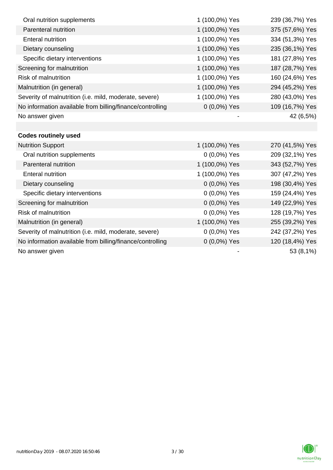| Oral nutrition supplements                                | 1 (100,0%) Yes | 239 (36,7%) Yes |
|-----------------------------------------------------------|----------------|-----------------|
| Parenteral nutrition                                      | 1 (100,0%) Yes | 375 (57,6%) Yes |
| <b>Enteral nutrition</b>                                  | 1 (100,0%) Yes | 334 (51,3%) Yes |
| Dietary counseling                                        | 1 (100,0%) Yes | 235 (36,1%) Yes |
| Specific dietary interventions                            | 1 (100,0%) Yes | 181 (27,8%) Yes |
| Screening for malnutrition                                | 1 (100,0%) Yes | 187 (28,7%) Yes |
| <b>Risk of malnutrition</b>                               | 1 (100,0%) Yes | 160 (24,6%) Yes |
| Malnutrition (in general)                                 | 1 (100,0%) Yes | 294 (45,2%) Yes |
| Severity of malnutrition (i.e. mild, moderate, severe)    | 1 (100,0%) Yes | 280 (43,0%) Yes |
| No information available from billing/finance/controlling | $0(0,0\%)$ Yes | 109 (16,7%) Yes |
| No answer given                                           |                | 42 (6,5%)       |
|                                                           |                |                 |
| <b>Codes routinely used</b>                               |                |                 |
| <b>Nutrition Support</b>                                  | 1 (100,0%) Yes | 270 (41,5%) Yes |
| Oral nutrition supplements                                | $0(0,0\%)$ Yes | 209 (32,1%) Yes |
| Parenteral nutrition                                      | 1 (100,0%) Yes | 343 (52,7%) Yes |
| <b>Enteral nutrition</b>                                  | 1 (100,0%) Yes | 307 (47,2%) Yes |
| Dietary counseling                                        | 0 (0,0%) Yes   | 198 (30,4%) Yes |
| Specific dietary interventions                            | 0 (0,0%) Yes   | 159 (24,4%) Yes |
| Screening for malnutrition                                | 0 (0,0%) Yes   | 149 (22,9%) Yes |
| Risk of malnutrition                                      | 0 (0,0%) Yes   | 128 (19,7%) Yes |
| Malnutrition (in general)                                 | 1 (100,0%) Yes | 255 (39,2%) Yes |
| Severity of malnutrition (i.e. mild, moderate, severe)    | 0 (0,0%) Yes   | 242 (37,2%) Yes |
| No information available from billing/finance/controlling | $0(0,0\%)$ Yes | 120 (18,4%) Yes |
| No answer given                                           |                | 53 (8,1%)       |

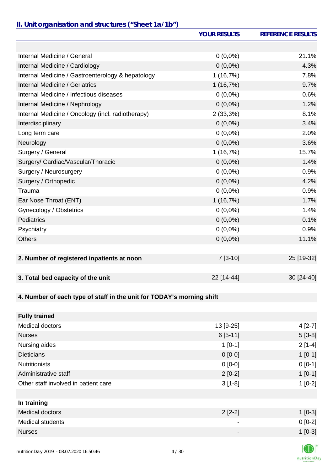### *II. Unit organisation and structures ("Sheet 1a/1b")*

|                                                                       | <b>YOUR RESULTS</b> | <b>REFERENCE RESULTS</b> |
|-----------------------------------------------------------------------|---------------------|--------------------------|
|                                                                       |                     |                          |
| Internal Medicine / General                                           | $0(0,0\%)$          | 21.1%                    |
| Internal Medicine / Cardiology                                        | $0(0,0\%)$          | 4.3%                     |
| Internal Medicine / Gastroenterology & hepatology                     | 1(16,7%)            | 7.8%                     |
| <b>Internal Medicine / Geriatrics</b>                                 | 1(16,7%)            | 9.7%                     |
| Internal Medicine / Infectious diseases                               | $0(0,0\%)$          | 0.6%                     |
| Internal Medicine / Nephrology                                        | $0(0,0\%)$          | 1.2%                     |
| Internal Medicine / Oncology (incl. radiotherapy)                     | 2(33,3%)            | 8.1%                     |
| Interdisciplinary                                                     | $0(0,0\%)$          | 3.4%                     |
| Long term care                                                        | $0(0,0\%)$          | 2.0%                     |
| Neurology                                                             | $0(0,0\%)$          | 3.6%                     |
| Surgery / General                                                     | 1(16,7%)            | 15.7%                    |
| Surgery/ Cardiac/Vascular/Thoracic                                    | $0(0,0\%)$          | 1.4%                     |
| Surgery / Neurosurgery                                                | $0(0,0\%)$          | 0.9%                     |
| Surgery / Orthopedic                                                  | $0(0,0\%)$          | 4.2%                     |
| Trauma                                                                | $0(0,0\%)$          | 0.9%                     |
| Ear Nose Throat (ENT)                                                 | 1(16,7%)            | 1.7%                     |
| Gynecology / Obstetrics                                               | $0(0,0\%)$          | 1.4%                     |
| <b>Pediatrics</b>                                                     | $0(0,0\%)$          | 0.1%                     |
| Psychiatry                                                            | $0(0,0\%)$          | 0.9%                     |
| <b>Others</b>                                                         | $0(0,0\%)$          | 11.1%                    |
|                                                                       |                     |                          |
| 2. Number of registered inpatients at noon                            | $7[3-10]$           | 25 [19-32]               |
|                                                                       |                     |                          |
| 3. Total bed capacity of the unit                                     | 22 [14-44]          | 30 [24-40]               |
|                                                                       |                     |                          |
| 4. Number of each type of staff in the unit for TODAY's morning shift |                     |                          |
|                                                                       |                     |                          |
| <b>Fully trained</b>                                                  |                     |                          |
| <b>Medical doctors</b>                                                | 13 [9-25]           | $4[2-7]$                 |
| <b>Nurses</b>                                                         | $6[5-11]$           | $5[3-8]$                 |
| Nursing aides                                                         | $1[0-1]$            | $2[1-4]$                 |
| <b>Dieticians</b>                                                     | $0 [0-0]$           | $1[0-1]$                 |
| <b>Nutritionists</b>                                                  | $0 [0-0]$           | $0[0-1]$                 |
| Administrative staff                                                  | $2[0-2]$            | $1[0-1]$                 |
| Other staff involved in patient care                                  | $3[1-8]$            | $1[0-2]$                 |
|                                                                       |                     |                          |
| In training                                                           |                     |                          |

| $2$ [2-2] | $1[0-3]$  |
|-----------|-----------|
| -         | $0 [0-2]$ |
| -         | $1[0-3]$  |
|           |           |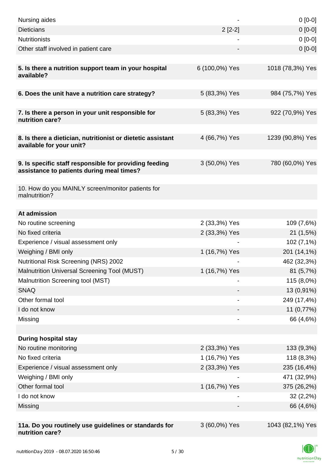| Nursing aides                                                                                       |                | $0[0-0]$         |
|-----------------------------------------------------------------------------------------------------|----------------|------------------|
| <b>Dieticians</b>                                                                                   | $2[2-2]$       | $0[0-0]$         |
| <b>Nutritionists</b>                                                                                |                | $0[0-0]$         |
| Other staff involved in patient care                                                                |                | $0[0-0]$         |
| 5. Is there a nutrition support team in your hospital<br>available?                                 | 6 (100,0%) Yes | 1018 (78,3%) Yes |
| 6. Does the unit have a nutrition care strategy?                                                    | 5 (83,3%) Yes  | 984 (75,7%) Yes  |
|                                                                                                     |                |                  |
| 7. Is there a person in your unit responsible for<br>nutrition care?                                | 5 (83,3%) Yes  | 922 (70,9%) Yes  |
| 8. Is there a dietician, nutritionist or dietetic assistant<br>available for your unit?             | 4 (66,7%) Yes  | 1239 (90,8%) Yes |
| 9. Is specific staff responsible for providing feeding<br>assistance to patients during meal times? | 3 (50,0%) Yes  | 780 (60,0%) Yes  |
| 10. How do you MAINLY screen/monitor patients for<br>malnutrition?                                  |                |                  |
| At admission                                                                                        |                |                  |
| No routine screening                                                                                | 2 (33,3%) Yes  | 109 (7,6%)       |
| No fixed criteria                                                                                   | 2 (33,3%) Yes  | 21(1,5%)         |
| Experience / visual assessment only                                                                 |                | 102 (7,1%)       |
| Weighing / BMI only                                                                                 | 1 (16,7%) Yes  | 201 (14,1%)      |
| Nutritional Risk Screening (NRS) 2002                                                               |                | 462 (32,3%)      |
| Malnutrition Universal Screening Tool (MUST)                                                        | 1 (16,7%) Yes  | 81(5,7%)         |
| Malnutrition Screening tool (MST)                                                                   |                | 115 (8,0%)       |
| <b>SNAQ</b>                                                                                         |                | 13 (0,91%)       |
| Other formal tool                                                                                   |                | 249 (17,4%)      |
| I do not know                                                                                       |                | 11 (0,77%)       |
| Missing                                                                                             |                | 66 (4,6%)        |
|                                                                                                     |                |                  |
| <b>During hospital stay</b>                                                                         |                |                  |
| No routine monitoring                                                                               | 2 (33,3%) Yes  | 133 (9,3%)       |
| No fixed criteria                                                                                   | 1 (16,7%) Yes  | 118 (8,3%)       |
| Experience / visual assessment only                                                                 | 2 (33,3%) Yes  | 235 (16,4%)      |
| Weighing / BMI only                                                                                 |                | 471 (32,9%)      |
| Other formal tool                                                                                   | 1 (16,7%) Yes  | 375 (26,2%)      |
| I do not know                                                                                       |                | $32(2,2\%)$      |
| Missing                                                                                             |                | 66 (4,6%)        |
|                                                                                                     |                |                  |
| 11a. Do you routinely use guidelines or standards for<br>nutrition care?                            | 3 (60,0%) Yes  | 1043 (82,1%) Yes |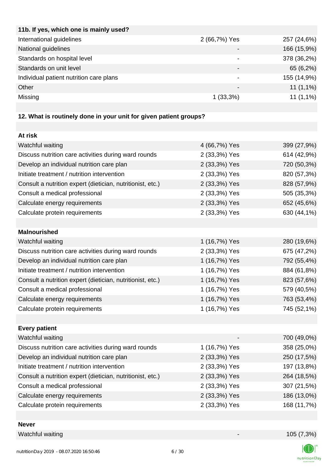| 2 (66,7%) Yes   | 257 (24,6%) |
|-----------------|-------------|
|                 | 166 (15,9%) |
|                 | 378 (36,2%) |
|                 | 65 (6,2%)   |
| -               | 155 (14,9%) |
| $\qquad \qquad$ | $11(1,1\%)$ |
| $1(33,3\%)$     | $11(1,1\%)$ |
|                 |             |

# **12. What is routinely done in your unit for given patient groups?**

| At risk                                                    |               |             |
|------------------------------------------------------------|---------------|-------------|
| Watchful waiting                                           | 4 (66,7%) Yes | 399 (27,9%) |
| Discuss nutrition care activities during ward rounds       | 2 (33,3%) Yes | 614 (42,9%) |
| Develop an individual nutrition care plan                  | 2 (33,3%) Yes | 720 (50,3%) |
| Initiate treatment / nutrition intervention                | 2 (33,3%) Yes | 820 (57,3%) |
| Consult a nutrition expert (dietician, nutritionist, etc.) | 2 (33,3%) Yes | 828 (57,9%) |
| Consult a medical professional                             | 2 (33,3%) Yes | 505 (35,3%) |
| Calculate energy requirements                              | 2 (33,3%) Yes | 652 (45,6%) |
| Calculate protein requirements                             | 2 (33,3%) Yes | 630 (44,1%) |
|                                                            |               |             |
| <b>Malnourished</b>                                        |               |             |
| Watchful waiting                                           | 1 (16,7%) Yes | 280 (19,6%) |
| Discuss nutrition care activities during ward rounds       | 2 (33,3%) Yes | 675 (47,2%) |
| Develop an individual nutrition care plan                  | 1 (16,7%) Yes | 792 (55,4%) |
| Initiate treatment / nutrition intervention                | 1 (16,7%) Yes | 884 (61,8%) |
| Consult a nutrition expert (dietician, nutritionist, etc.) | 1 (16,7%) Yes | 823 (57,6%) |
| Consult a medical professional                             | 1 (16,7%) Yes | 579 (40,5%) |
| Calculate energy requirements                              | 1 (16,7%) Yes | 763 (53,4%) |
| Calculate protein requirements                             | 1 (16,7%) Yes | 745 (52,1%) |
|                                                            |               |             |
| <b>Every patient</b>                                       |               |             |
| Watchful waiting                                           |               | 700 (49,0%) |
| Discuss nutrition care activities during ward rounds       | 1 (16,7%) Yes | 358 (25,0%) |
| Develop an individual nutrition care plan                  | 2 (33,3%) Yes | 250 (17,5%) |
| Initiate treatment / nutrition intervention                | 2 (33,3%) Yes | 197 (13,8%) |
| Consult a nutrition expert (dietician, nutritionist, etc.) | 2 (33,3%) Yes | 264 (18,5%) |
| Consult a medical professional                             | 2 (33,3%) Yes | 307 (21,5%) |
| Calculate energy requirements                              | 2 (33,3%) Yes | 186 (13,0%) |
| Calculate protein requirements                             | 2 (33,3%) Yes | 168 (11,7%) |
|                                                            |               |             |

**Never**

Watchful waiting 105 (7,3%)

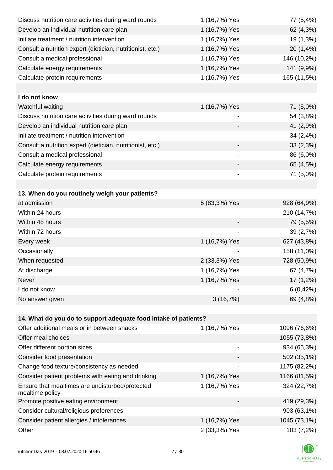| Discuss nutrition care activities during ward rounds            | 1 (16,7%) Yes                | 77 (5,4%)    |
|-----------------------------------------------------------------|------------------------------|--------------|
| Develop an individual nutrition care plan                       | 1 (16,7%) Yes                | 62 (4,3%)    |
| Initiate treatment / nutrition intervention                     | 1 (16,7%) Yes                | 19 (1,3%)    |
| Consult a nutrition expert (dietician, nutritionist, etc.)      | 1 (16,7%) Yes                | 20 (1,4%)    |
| Consult a medical professional                                  | 1 (16,7%) Yes                | 146 (10,2%)  |
| Calculate energy requirements                                   | 1 (16,7%) Yes                | 141 (9,9%)   |
| Calculate protein requirements                                  | 1 (16,7%) Yes                | 165 (11,5%)  |
| I do not know                                                   |                              |              |
| Watchful waiting                                                | 1 (16,7%) Yes                | 71 (5,0%)    |
| Discuss nutrition care activities during ward rounds            | -                            | 54 (3,8%)    |
| Develop an individual nutrition care plan                       |                              | 41 (2,9%)    |
| Initiate treatment / nutrition intervention                     |                              | 34 (2,4%)    |
| Consult a nutrition expert (dietician, nutritionist, etc.)      |                              | 33(2,3%)     |
| Consult a medical professional                                  |                              | 86 (6,0%)    |
| Calculate energy requirements                                   |                              | 65 (4,5%)    |
| Calculate protein requirements                                  | -                            | 71 (5,0%)    |
|                                                                 |                              |              |
| 13. When do you routinely weigh your patients?                  |                              |              |
| at admission                                                    | 5 (83,3%) Yes                | 928 (64,9%)  |
| Within 24 hours                                                 |                              | 210 (14,7%)  |
| Within 48 hours                                                 |                              | 79 (5,5%)    |
| Within 72 hours                                                 |                              | 39 (2,7%)    |
| Every week                                                      | 1 (16,7%) Yes                | 627 (43,8%)  |
| Occasionally                                                    |                              | 158 (11,0%)  |
| When requested                                                  | 2 (33,3%) Yes                | 728 (50,9%)  |
| At discharge                                                    | 1 (16,7%) Yes                | 67 (4,7%)    |
| Never                                                           | 1 (16,7%) Yes                | 17 (1,2%)    |
| I do not know                                                   |                              | 6(0,42%)     |
| No answer given                                                 | 3(16,7%)                     | 69 (4,8%)    |
| 14. What do you do to support adequate food intake of patients? |                              |              |
| Offer additional meals or in between snacks                     | 1 (16,7%) Yes                | 1096 (76,6%) |
| Offer meal choices                                              |                              | 1055 (73,8%) |
| Offer different portion sizes                                   | $\qquad \qquad \blacksquare$ | 934 (65,3%)  |
| Consider food presentation                                      |                              | 502 (35,1%)  |
| Change food texture/consistency as needed                       |                              | 1175 (82,2%) |
| Consider patient problems with eating and drinking              | 1 (16,7%) Yes                | 1166 (81,5%) |
| Ensure that mealtimes are undisturbed/protected                 | 1 (16,7%) Yes                | 324 (22,7%)  |
| mealtime policy                                                 |                              |              |
| Promote positive eating environment                             |                              | 419 (29,3%)  |
| Consider cultural/religious preferences                         |                              | 903 (63,1%)  |
| Consider patient allergies / intolerances                       | 1 (16,7%) Yes                | 1045 (73,1%) |

Other 2 (33,3%) Yes 103 (7,2%)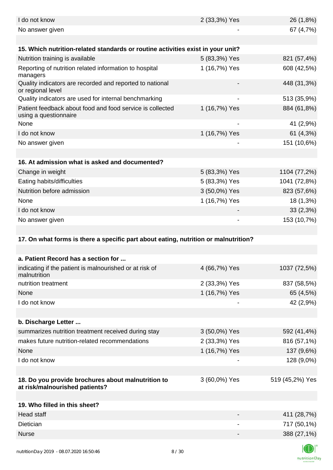| I do not know                                                                        | 2 (33,3%) Yes                | 26 (1,8%)       |
|--------------------------------------------------------------------------------------|------------------------------|-----------------|
| No answer given                                                                      |                              | 67 (4,7%)       |
|                                                                                      |                              |                 |
| 15. Which nutrition-related standards or routine activities exist in your unit?      |                              |                 |
| Nutrition training is available                                                      | 5 (83,3%) Yes                | 821 (57,4%)     |
| Reporting of nutrition related information to hospital<br>managers                   | 1 (16,7%) Yes                | 608 (42,5%)     |
| Quality indicators are recorded and reported to national<br>or regional level        |                              | 448 (31,3%)     |
| Quality indicators are used for internal benchmarking                                |                              | 513 (35,9%)     |
| Patient feedback about food and food service is collected<br>using a questionnaire   | 1 (16,7%) Yes                | 884 (61,8%)     |
| None                                                                                 |                              | 41 (2,9%)       |
| I do not know                                                                        | 1 (16,7%) Yes                | 61 (4,3%)       |
| No answer given                                                                      | $\overline{\phantom{a}}$     | 151 (10,6%)     |
|                                                                                      |                              |                 |
| 16. At admission what is asked and documented?                                       |                              |                 |
| Change in weight                                                                     | 5 (83,3%) Yes                | 1104 (77,2%)    |
| Eating habits/difficulties                                                           | 5 (83,3%) Yes                | 1041 (72,8%)    |
| Nutrition before admission                                                           | 3 (50,0%) Yes                | 823 (57,6%)     |
| None                                                                                 | 1 (16,7%) Yes                | 18 (1,3%)       |
| I do not know                                                                        |                              | 33(2,3%)        |
| No answer given                                                                      | $\qquad \qquad \blacksquare$ | 153 (10,7%)     |
|                                                                                      |                              |                 |
| 17. On what forms is there a specific part about eating, nutrition or malnutrition?  |                              |                 |
|                                                                                      |                              |                 |
| a. Patient Record has a section for                                                  |                              |                 |
| indicating if the patient is malnourished or at risk of<br>malnutrition              | 4 (66,7%) Yes                | 1037 (72,5%)    |
| nutrition treatment                                                                  | 2 (33,3%) Yes                | 837 (58,5%)     |
| None                                                                                 | 1 (16,7%) Yes                | 65 (4,5%)       |
| I do not know                                                                        |                              | 42 (2,9%)       |
|                                                                                      |                              |                 |
| b. Discharge Letter                                                                  |                              |                 |
| summarizes nutrition treatment received during stay                                  | 3 (50,0%) Yes                | 592 (41,4%)     |
| makes future nutrition-related recommendations                                       | 2 (33,3%) Yes                | 816 (57,1%)     |
| None                                                                                 |                              |                 |
|                                                                                      | 1 (16,7%) Yes                | 137 (9,6%)      |
| I do not know                                                                        |                              | 128 (9,0%)      |
|                                                                                      |                              |                 |
| 18. Do you provide brochures about malnutrition to<br>at risk/malnourished patients? | 3 (60,0%) Yes                | 519 (45,2%) Yes |
|                                                                                      |                              |                 |
| 19. Who filled in this sheet?                                                        |                              |                 |
| Head staff                                                                           |                              | 411 (28,7%)     |
| Dietician                                                                            | $\qquad \qquad \blacksquare$ | 717 (50,1%)     |
| <b>Nurse</b>                                                                         |                              | 388 (27,1%)     |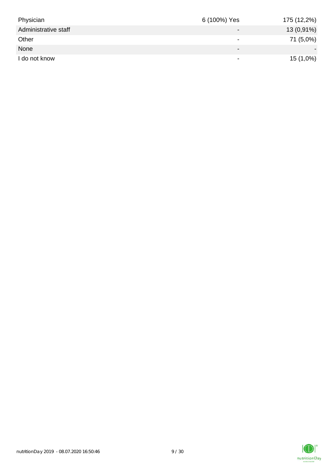| Physician            | 6 (100%) Yes             | 175 (12,2%)  |
|----------------------|--------------------------|--------------|
| Administrative staff | $\overline{\phantom{0}}$ | $13(0,91\%)$ |
| Other                | $\overline{\phantom{0}}$ | 71 (5,0%)    |
| None                 | $\overline{\phantom{0}}$ |              |
| I do not know        | $\overline{\phantom{0}}$ | $15(1,0\%)$  |

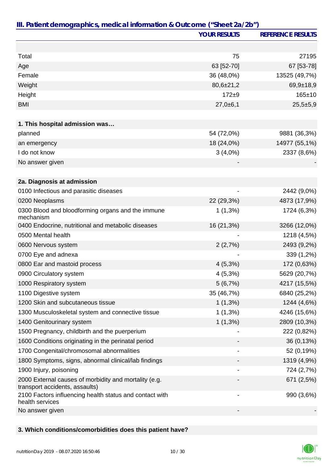| III. Patient demographics, medical information & Outcome ("Sheet 2a/2b")                | <b>YOUR RESULTS</b>          | <b>REFERENCE RESULTS</b> |
|-----------------------------------------------------------------------------------------|------------------------------|--------------------------|
|                                                                                         |                              |                          |
|                                                                                         |                              |                          |
| Total                                                                                   | 75                           | 27195                    |
| Age                                                                                     | 63 [52-70]                   | 67 [53-78]               |
| Female                                                                                  | 36 (48,0%)                   | 13525 (49,7%)            |
| Weight                                                                                  | $80,6{\pm}21,2$              | $69,9+18,9$              |
| Height                                                                                  | $172 + 9$                    | $165 \pm 10$             |
| <b>BMI</b>                                                                              | $27,0+6,1$                   | $25,5+5,9$               |
| 1. This hospital admission was                                                          |                              |                          |
| planned                                                                                 | 54 (72,0%)                   | 9881 (36,3%)             |
| an emergency                                                                            | 18 (24,0%)                   | 14977 (55,1%)            |
| I do not know                                                                           | $3(4,0\%)$                   | 2337 (8,6%)              |
| No answer given                                                                         |                              |                          |
|                                                                                         |                              |                          |
| 2a. Diagnosis at admission                                                              |                              |                          |
| 0100 Infectious and parasitic diseases                                                  |                              | 2442 (9,0%)              |
| 0200 Neoplasms                                                                          | 22 (29,3%)                   | 4873 (17,9%)             |
| 0300 Blood and bloodforming organs and the immune<br>mechanism                          | $1(1,3\%)$                   | 1724 (6,3%)              |
| 0400 Endocrine, nutritional and metabolic diseases                                      | 16 (21,3%)                   | 3266 (12,0%)             |
| 0500 Mental health                                                                      |                              | 1218 (4,5%)              |
| 0600 Nervous system                                                                     | 2(2,7%)                      | 2493 (9,2%)              |
| 0700 Eye and adnexa                                                                     |                              | 339 (1,2%)               |
| 0800 Ear and mastoid process                                                            | $4(5,3\%)$                   | 172 (0,63%)              |
| 0900 Circulatory system                                                                 | $4(5,3\%)$                   | 5629 (20,7%)             |
| 1000 Respiratory system                                                                 | 5(6,7%)                      | 4217 (15,5%)             |
| 1100 Digestive system                                                                   | 35 (46,7%)                   | 6840 (25,2%)             |
| 1200 Skin and subcutaneous tissue                                                       | $1(1,3\%)$                   | 1244 (4,6%)              |
| 1300 Musculoskeletal system and connective tissue                                       | $1(1,3\%)$                   | 4246 (15,6%)             |
| 1400 Genitourinary system                                                               | $1(1,3\%)$                   | 2809 (10,3%)             |
| 1500 Pregnancy, childbirth and the puerperium                                           |                              | 222 (0,82%)              |
| 1600 Conditions originating in the perinatal period                                     |                              | 36 (0,13%)               |
| 1700 Congenital/chromosomal abnormalities                                               |                              | 52 (0,19%)               |
| 1800 Symptoms, signs, abnormal clinical/lab findings                                    |                              | 1319 (4,9%)              |
| 1900 Injury, poisoning                                                                  |                              | 724 (2,7%)               |
| 2000 External causes of morbidity and mortality (e.g.<br>transport accidents, assaults) |                              | 671 (2,5%)               |
| 2100 Factors influencing health status and contact with<br>health services              | $\qquad \qquad \blacksquare$ | 990 (3,6%)               |
| No answer given                                                                         |                              |                          |

## **3. Which conditions/comorbidities does this patient have?**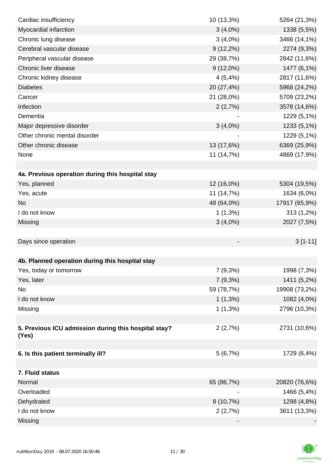| Cardiac insufficiency                                | 10 (13,3%)  | 5264 (21,3%)  |
|------------------------------------------------------|-------------|---------------|
| Myocardial infarction                                | $3(4,0\%)$  | 1338 (5,5%)   |
| Chronic lung disease                                 | $3(4,0\%)$  | 3466 (14,1%)  |
| Cerebral vascular disease                            | $9(12,2\%)$ | 2274 (9,3%)   |
| Peripheral vascular disease                          | 29 (38,7%)  | 2842 (11,6%)  |
| Chronic liver disease                                | $9(12,0\%)$ | 1477 (6,1%)   |
| Chronic kidney disease                               | 4(5,4%)     | 2817 (11,6%)  |
| <b>Diabetes</b>                                      | 20 (27,4%)  | 5968 (24,2%)  |
| Cancer                                               | 21 (28,0%)  | 5709 (23,2%)  |
| Infection                                            | 2(2,7%)     | 3578 (14,6%)  |
| Dementia                                             |             | 1229 (5,1%)   |
| Major depressive disorder                            | $3(4,0\%)$  | 1233 (5,1%)   |
| Other chronic mental disorder                        |             | 1229 (5,1%)   |
| Other chronic disease                                | 13 (17,6%)  | 6369 (25,9%)  |
| None                                                 | 11 (14,7%)  | 4869 (17,9%)  |
|                                                      |             |               |
| 4a. Previous operation during this hospital stay     |             |               |
| Yes, planned                                         | 12 (16,0%)  | 5304 (19,5%)  |
| Yes, acute                                           | 11 (14,7%)  | 1634 (6,0%)   |
| <b>No</b>                                            | 48 (64,0%)  | 17917 (65,9%) |
| I do not know                                        | $1(1,3\%)$  | 313 (1,2%)    |
| Missing                                              | $3(4,0\%)$  | 2027 (7,5%)   |
|                                                      |             |               |
| Days since operation                                 |             | $3[1-11]$     |
|                                                      |             |               |
| 4b. Planned operation during this hospital stay      |             |               |
| Yes, today or tomorrow                               | 7(9,3%)     | 1998 (7,3%)   |
| Yes, later                                           | 7(9,3%)     | 1411 (5,2%)   |
| No                                                   | 59 (78,7%)  | 19908 (73,2%) |
| I do not know                                        | $1(1,3\%)$  | 1082 (4,0%)   |
| Missing                                              | $1(1,3\%)$  | 2796 (10,3%)  |
|                                                      |             |               |
| 5. Previous ICU admission during this hospital stay? | 2(2,7%)     | 2731 (10,6%)  |
| (Yes)                                                |             |               |
| 6. Is this patient terminally ill?                   | 5(6,7%)     | 1729 (6,4%)   |
|                                                      |             |               |
| 7. Fluid status                                      |             |               |
| Normal                                               | 65 (86,7%)  | 20820 (76,6%) |
| Overloaded                                           |             | 1466 (5,4%)   |
| Dehydrated                                           | $8(10,7\%)$ | 1298 (4,8%)   |
| I do not know                                        | 2(2,7%)     | 3611 (13,3%)  |
| Missing                                              |             |               |
|                                                      |             |               |

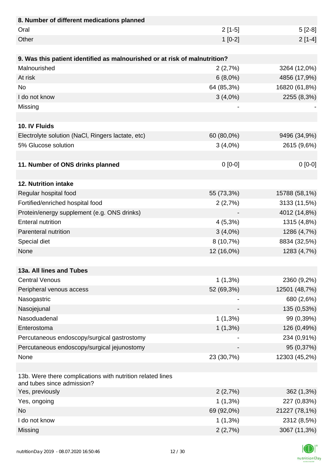| 8. Number of different medications planned                                               |            |               |
|------------------------------------------------------------------------------------------|------------|---------------|
| Oral                                                                                     | $2[1-5]$   | $5[2-8]$      |
| Other                                                                                    | $1[0-2]$   | $2[1-4]$      |
|                                                                                          |            |               |
| 9. Was this patient identified as malnourished or at risk of malnutrition?               |            |               |
| Malnourished                                                                             | 2(2,7%)    | 3264 (12,0%)  |
| At risk                                                                                  | $6(8,0\%)$ | 4856 (17,9%)  |
| <b>No</b>                                                                                | 64 (85,3%) | 16820 (61,8%) |
| I do not know                                                                            | $3(4,0\%)$ | 2255 (8,3%)   |
| Missing                                                                                  |            |               |
|                                                                                          |            |               |
| 10. IV Fluids                                                                            |            |               |
| Electrolyte solution (NaCl, Ringers lactate, etc)                                        | 60 (80,0%) | 9496 (34,9%)  |
| 5% Glucose solution                                                                      | $3(4,0\%)$ | 2615 (9,6%)   |
|                                                                                          |            |               |
| 11. Number of ONS drinks planned                                                         | $0 [0-0]$  | $0[0-0]$      |
|                                                                                          |            |               |
| 12. Nutrition intake                                                                     |            |               |
| Regular hospital food                                                                    | 55 (73,3%) | 15788 (58,1%) |
| Fortified/enriched hospital food                                                         | 2(2,7%)    | 3133 (11,5%)  |
| Protein/energy supplement (e.g. ONS drinks)                                              |            | 4012 (14,8%)  |
| <b>Enteral nutrition</b>                                                                 | $4(5,3\%)$ | 1315 (4,8%)   |
| Parenteral nutrition                                                                     | $3(4,0\%)$ | 1286 (4,7%)   |
| Special diet                                                                             | 8 (10,7%)  | 8834 (32,5%)  |
| None                                                                                     | 12 (16,0%) | 1283 (4,7%)   |
|                                                                                          |            |               |
| 13a. All lines and Tubes                                                                 |            |               |
| <b>Central Venous</b>                                                                    | $1(1,3\%)$ | 2360 (9,2%)   |
| Peripheral venous access                                                                 | 52 (69,3%) | 12501 (48,7%) |
| Nasogastric                                                                              |            | 680 (2,6%)    |
| Nasojejunal                                                                              |            | 135 (0,53%)   |
| Nasoduadenal                                                                             | $1(1,3\%)$ | 99 (0,39%)    |
| Enterostoma                                                                              | $1(1,3\%)$ | 126 (0,49%)   |
| Percutaneous endoscopy/surgical gastrostomy                                              |            | 234 (0,91%)   |
| Percutaneous endoscopy/surgical jejunostomy                                              |            | 95 (0,37%)    |
| None                                                                                     | 23 (30,7%) | 12303 (45,2%) |
|                                                                                          |            |               |
| 13b. Were there complications with nutrition related lines<br>and tubes since admission? |            |               |
| Yes, previously                                                                          | 2(2,7%)    | 362 (1,3%)    |
| Yes, ongoing                                                                             | $1(1,3\%)$ | 227 (0,83%)   |
| <b>No</b>                                                                                | 69 (92,0%) | 21227 (78,1%) |
| I do not know                                                                            | $1(1,3\%)$ | 2312 (8,5%)   |
| Missing                                                                                  | 2(2,7%)    | 3067 (11,3%)  |

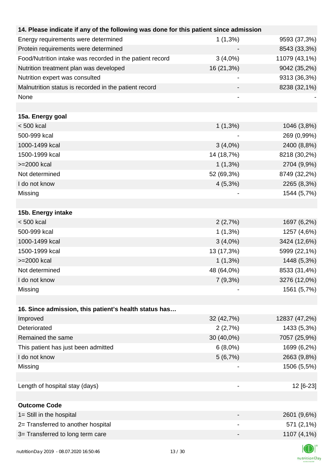| 14. Please indicate if any of the following was done for this patient since admission |            |               |
|---------------------------------------------------------------------------------------|------------|---------------|
| Energy requirements were determined                                                   | $1(1,3\%)$ | 9593 (37,3%)  |
| Protein requirements were determined                                                  |            | 8543 (33,3%)  |
| Food/Nutrition intake was recorded in the patient record                              | $3(4,0\%)$ | 11079 (43,1%) |
| Nutrition treatment plan was developed                                                | 16 (21,3%) | 9042 (35,2%)  |
| Nutrition expert was consulted                                                        |            | 9313 (36,3%)  |
| Malnutrition status is recorded in the patient record                                 |            | 8238 (32,1%)  |
| None                                                                                  |            |               |
| 15a. Energy goal                                                                      |            |               |
| $< 500$ kcal                                                                          | $1(1,3\%)$ | 1046 (3,8%)   |
| 500-999 kcal                                                                          |            | 269 (0,99%)   |
| 1000-1499 kcal                                                                        | $3(4,0\%)$ | 2400 (8,8%)   |
| 1500-1999 kcal                                                                        | 14 (18,7%) | 8218 (30,2%)  |
| >=2000 kcal                                                                           | $1(1,3\%)$ | 2704 (9,9%)   |
| Not determined                                                                        | 52 (69,3%) | 8749 (32,2%)  |
| I do not know                                                                         | $4(5,3\%)$ | 2265 (8,3%)   |
| Missing                                                                               |            | 1544 (5,7%)   |
|                                                                                       |            |               |
| 15b. Energy intake                                                                    |            |               |
| $< 500$ kcal                                                                          | 2(2,7%)    | 1697 (6,2%)   |
| 500-999 kcal                                                                          | $1(1,3\%)$ | 1257 (4,6%)   |
| 1000-1499 kcal                                                                        | $3(4,0\%)$ | 3424 (12,6%)  |
| 1500-1999 kcal                                                                        | 13 (17,3%) | 5999 (22,1%)  |
| >=2000 kcal                                                                           | $1(1,3\%)$ | 1448 (5,3%)   |
| Not determined                                                                        | 48 (64,0%) | 8533 (31,4%)  |
| I do not know                                                                         | $7(9,3\%)$ | 3276 (12,0%)  |
| Missing                                                                               |            | 1561 (5,7%)   |
|                                                                                       |            |               |
| 16. Since admission, this patient's health status has                                 |            |               |
| Improved                                                                              | 32 (42,7%) | 12837 (47,2%) |
| Deteriorated                                                                          | 2(2,7%)    | 1433 (5,3%)   |
| Remained the same                                                                     | 30 (40,0%) | 7057 (25,9%)  |
| This patient has just been admitted                                                   | $6(8,0\%)$ | 1699 (6,2%)   |
| I do not know                                                                         | 5(6,7%)    | 2663 (9,8%)   |
| Missing                                                                               |            | 1506 (5,5%)   |
|                                                                                       |            |               |
| Length of hospital stay (days)                                                        |            | 12 [6-23]     |
|                                                                                       |            |               |
| <b>Outcome Code</b>                                                                   |            |               |
| 1= Still in the hospital                                                              |            | 2601 (9,6%)   |
| 2= Transferred to another hospital                                                    |            | 571 (2,1%)    |
| 3= Transferred to long term care                                                      |            | 1107 (4,1%)   |
|                                                                                       |            |               |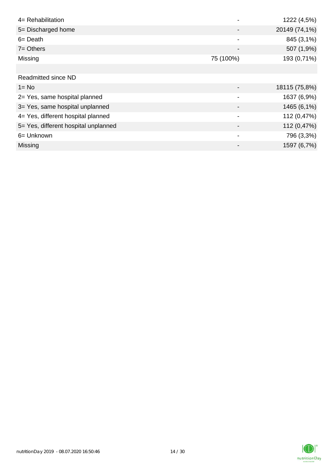| 4= Rehabilitation                    |                | 1222 (4,5%)   |
|--------------------------------------|----------------|---------------|
| 5= Discharged home                   |                | 20149 (74,1%) |
| $6 = Death$                          | -              | 845 (3,1%)    |
| $7 =$ Others                         |                | 507 (1,9%)    |
| Missing                              | 75 (100%)      | 193 (0,71%)   |
|                                      |                |               |
| <b>Readmitted since ND</b>           |                |               |
| $1 = No$                             |                | 18115 (75,8%) |
| 2= Yes, same hospital planned        |                | 1637 (6,9%)   |
| 3= Yes, same hospital unplanned      |                | 1465 (6,1%)   |
| 4= Yes, different hospital planned   | $\blacksquare$ | 112 (0,47%)   |
| 5= Yes, different hospital unplanned |                | 112 (0,47%)   |
| 6= Unknown                           | -              | 796 (3,3%)    |
| Missing                              |                | 1597 (6,7%)   |

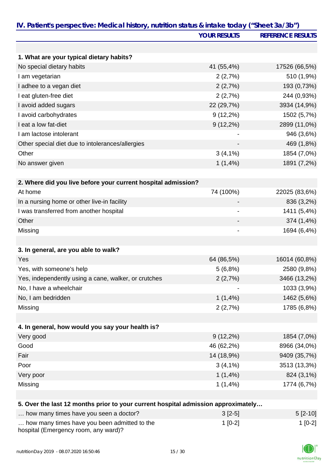|                                                                                   | <b>YOUR RESULTS</b>          | <b>REFERENCE RESULTS</b> |
|-----------------------------------------------------------------------------------|------------------------------|--------------------------|
|                                                                                   |                              |                          |
| 1. What are your typical dietary habits?                                          |                              |                          |
| No special dietary habits                                                         | 41 (55,4%)                   | 17526 (66,5%)            |
| I am vegetarian                                                                   | 2(2,7%)                      | 510 (1,9%)               |
| I adhee to a vegan diet                                                           | 2(2,7%)                      | 193 (0,73%)              |
| I eat gluten-free diet                                                            | 2(2,7%)                      | 244 (0,93%)              |
| I avoid added sugars                                                              | 22 (29,7%)                   | 3934 (14,9%)             |
| I avoid carbohydrates                                                             | $9(12,2\%)$                  | 1502 (5,7%)              |
| I eat a low fat-diet                                                              | $9(12,2\%)$                  | 2899 (11,0%)             |
| I am lactose intolerant                                                           |                              | 946 (3,6%)               |
| Other special diet due to intolerances/allergies                                  |                              | 469 (1,8%)               |
| Other                                                                             | $3(4,1\%)$                   | 1854 (7,0%)              |
| No answer given                                                                   | 1(1,4%)                      | 1891 (7,2%)              |
|                                                                                   |                              |                          |
| 2. Where did you live before your current hospital admission?                     |                              |                          |
| At home                                                                           | 74 (100%)                    | 22025 (83,6%)            |
| In a nursing home or other live-in facility                                       |                              | 836 (3,2%)               |
| I was transferred from another hospital                                           | $\qquad \qquad \blacksquare$ | 1411 (5,4%)              |
| Other                                                                             |                              | 374 (1,4%)               |
| Missing                                                                           |                              | 1694 (6,4%)              |
|                                                                                   |                              |                          |
| 3. In general, are you able to walk?                                              |                              |                          |
| Yes                                                                               | 64 (86,5%)                   | 16014 (60,8%)            |
| Yes, with someone's help                                                          | 5(6,8%)                      | 2580 (9,8%)              |
| Yes, independently using a cane, walker, or crutches                              | 2(2,7%)                      | 3466 (13,2%)             |
| No, I have a wheelchair                                                           |                              | 1033 (3,9%)              |
| No, I am bedridden                                                                | $1(1,4\%)$                   | 1462 (5,6%)              |
| Missing                                                                           | 2(2,7%)                      | 1785 (6,8%)              |
|                                                                                   |                              |                          |
| 4. In general, how would you say your health is?                                  |                              |                          |
| Very good                                                                         | $9(12,2\%)$                  | 1854 (7,0%)              |
| Good                                                                              | 46 (62,2%)                   | 8966 (34,0%)             |
| Fair                                                                              | 14 (18,9%)                   | 9409 (35,7%)             |
| Poor                                                                              | $3(4,1\%)$                   | 3513 (13,3%)             |
| Very poor                                                                         | $1(1,4\%)$                   | 824 (3,1%)               |
| Missing                                                                           | 1(1,4%)                      | 1774 (6,7%)              |
|                                                                                   |                              |                          |
| 5. Over the last 12 months prior to your current hospital admission approximately |                              |                          |
| how many times have you seen a doctor?                                            | $3[2-5]$                     | $5[2-10]$                |
| how many times have you been admitted to the                                      | $1[0-2]$                     | $1[0-2]$                 |

hospital (Emergency room, any ward)?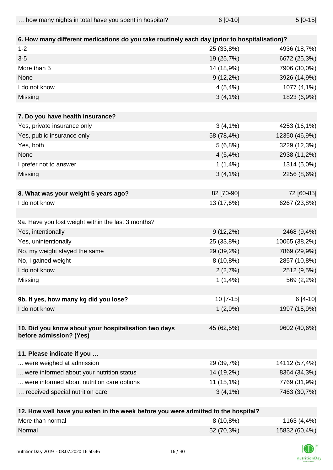| how many nights in total have you spent in hospital? | $6[0-10]$ | $5[0-15]$ |
|------------------------------------------------------|-----------|-----------|
|                                                      |           |           |

| 6. How many different medications do you take routinely each day (prior to hospitalisation)? |                               |               |
|----------------------------------------------------------------------------------------------|-------------------------------|---------------|
| $1 - 2$                                                                                      | 25 (33,8%)                    | 4936 (18,7%)  |
| $3-5$                                                                                        | 19 (25,7%)                    | 6672 (25,3%)  |
| More than 5                                                                                  | 14 (18,9%)                    | 7906 (30,0%)  |
| None                                                                                         | $9(12,2\%)$                   | 3926 (14,9%)  |
| I do not know                                                                                | 4(5,4%)                       | 1077 (4,1%)   |
| Missing                                                                                      | $3(4,1\%)$                    | 1823 (6,9%)   |
| 7. Do you have health insurance?                                                             |                               |               |
| Yes, private insurance only                                                                  |                               | 4253 (16,1%)  |
|                                                                                              | $3(4,1\%)$                    |               |
| Yes, public insurance only                                                                   | 58 (78,4%)                    | 12350 (46,9%) |
| Yes, both                                                                                    | 5(6,8%)                       | 3229 (12,3%)  |
| None                                                                                         | 4(5,4%)                       | 2938 (11,2%)  |
| I prefer not to answer                                                                       | 1(1,4%                        | 1314 (5,0%)   |
| Missing                                                                                      | $3(4,1\%)$                    | 2256 (8,6%)   |
| 8. What was your weight 5 years ago?                                                         | 82 [70-90]                    | 72 [60-85]    |
| I do not know                                                                                | 13 (17,6%)                    | 6267 (23,8%)  |
|                                                                                              |                               |               |
| 9a. Have you lost weight within the last 3 months?                                           |                               |               |
| Yes, intentionally                                                                           | $9(12,2\%)$                   | 2468 (9,4%)   |
| Yes, unintentionally                                                                         | 25 (33,8%)                    | 10065 (38,2%) |
| No, my weight stayed the same                                                                | 29 (39,2%)                    | 7869 (29,9%)  |
| No, I gained weight                                                                          | 8 (10,8%)                     | 2857 (10,8%)  |
| I do not know                                                                                | 2(2,7%)                       | 2512 (9,5%)   |
| Missing                                                                                      | $1(1,4\%)$                    | 569 (2,2%)    |
|                                                                                              |                               |               |
| 9b. If yes, how many kg did you lose?                                                        | 10 [7-15]                     | $6[4-10]$     |
| I do not know                                                                                | 1(2,9%)                       | 1997 (15,9%)  |
| 10. Did you know about your hospitalisation two days<br>before admission? (Yes)              | 45 (62,5%)                    | 9602 (40,6%)  |
| 11. Please indicate if you                                                                   |                               |               |
| were weighed at admission                                                                    | 29 (39,7%)                    | 14112 (57,4%) |
| were informed about your nutrition status                                                    | 14 (19,2%)                    | 8364 (34,3%)  |
| were informed about nutrition care options                                                   | $11(15,1\%)$                  | 7769 (31,9%)  |
| received special nutrition care                                                              | $3(4,1\%)$                    | 7463 (30,7%)  |
|                                                                                              | a al dia dibia. Isia amita 10 |               |

| 12. How well have you eaten in the week before you were admitted to the hospital? |             |               |
|-----------------------------------------------------------------------------------|-------------|---------------|
| More than normal                                                                  | $8(10,8\%)$ | 1163 (4,4%)   |
| Normal                                                                            | 52 (70.3%)  | 15832 (60,4%) |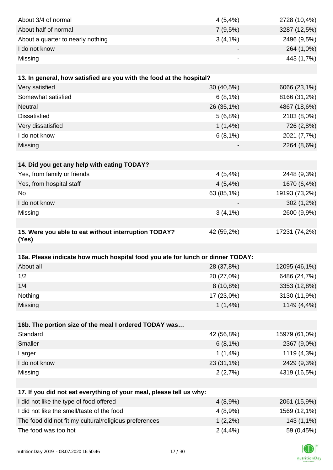| About 3/4 of normal                                                            | 4(5,4%)     | 2728 (10,4%)  |
|--------------------------------------------------------------------------------|-------------|---------------|
| About half of normal                                                           | 7(9,5%)     | 3287 (12,5%)  |
| About a quarter to nearly nothing                                              | $3(4,1\%)$  | 2496 (9,5%)   |
| I do not know                                                                  |             | 264 (1,0%)    |
| Missing                                                                        |             | 443 (1,7%)    |
|                                                                                |             |               |
| 13. In general, how satisfied are you with the food at the hospital?           |             |               |
| Very satisfied                                                                 | 30 (40,5%)  | 6066 (23,1%)  |
| Somewhat satisfied                                                             | 6(8,1%)     | 8166 (31,2%)  |
| <b>Neutral</b>                                                                 | 26 (35,1%)  | 4867 (18,6%)  |
| <b>Dissatisfied</b>                                                            | 5(6,8%)     | 2103 (8,0%)   |
| Very dissatisfied                                                              | 1(1,4%)     | 726 (2,8%)    |
| I do not know                                                                  | 6(8,1%)     | 2021 (7,7%)   |
| Missing                                                                        |             | 2264 (8,6%)   |
|                                                                                |             |               |
| 14. Did you get any help with eating TODAY?                                    |             |               |
| Yes, from family or friends                                                    | 4(5,4%)     | 2448 (9,3%)   |
| Yes, from hospital staff                                                       | 4(5,4%)     | 1670 (6,4%)   |
| <b>No</b>                                                                      | 63 (85,1%)  | 19193 (73,2%) |
| I do not know                                                                  |             | 302 (1,2%)    |
| Missing                                                                        | $3(4,1\%)$  | 2600 (9,9%)   |
|                                                                                |             |               |
| 15. Were you able to eat without interruption TODAY?                           | 42 (59,2%)  | 17231 (74,2%) |
| (Yes)                                                                          |             |               |
|                                                                                |             |               |
| 16a. Please indicate how much hospital food you ate for lunch or dinner TODAY: |             |               |
| About all                                                                      | 28 (37,8%)  | 12095 (46,1%) |
| 1/2                                                                            | 20 (27,0%)  | 6486 (24,7%)  |
| 1/4                                                                            | $8(10,8\%)$ | 3353 (12,8%)  |
| Nothing                                                                        | 17 (23,0%)  | 3130 (11,9%)  |
| Missing                                                                        | $1(1,4\%)$  | 1149 (4,4%)   |
|                                                                                |             |               |
| 16b. The portion size of the meal I ordered TODAY was                          |             |               |
| Standard                                                                       | 42 (56,8%)  | 15979 (61,0%) |
| Smaller                                                                        | 6(8,1%)     | 2367 (9,0%)   |
| Larger                                                                         | 1(1,4%)     | 1119 (4,3%)   |
| I do not know                                                                  | 23 (31,1%)  | 2429 (9,3%)   |
| Missing                                                                        | 2(2,7%)     | 4319 (16,5%)  |
|                                                                                |             |               |
| 17. If you did not eat everything of your meal, please tell us why:            |             |               |
| I did not like the type of food offered                                        | 4(8,9%)     | 2061 (15,9%)  |
| I did not like the smell/taste of the food                                     | 4(8,9%)     | 1569 (12,1%)  |
| The food did not fit my cultural/religious preferences                         | $1(2,2\%)$  | 143 (1,1%)    |
| The food was too hot                                                           | $2(4, 4\%)$ | 59 (0,45%)    |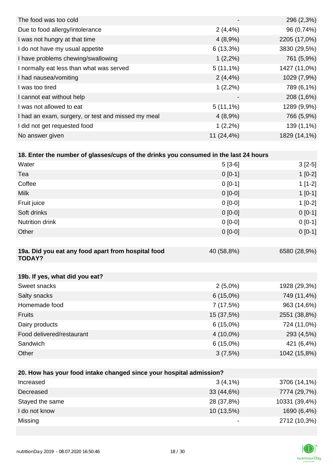| The food was too cold                              |                          | 296 (2,3%)   |
|----------------------------------------------------|--------------------------|--------------|
| Due to food allergy/intolerance                    | 2(4,4%                   | 96 (0,74%)   |
| I was not hungry at that time                      | 4(8,9%)                  | 2205 (17,0%) |
| I do not have my usual appetite                    | $6(13,3\%)$              | 3830 (29,5%) |
| I have problems chewing/swallowing                 | $1(2,2\%)$               | 761 (5,9%)   |
| I normally eat less than what was served           | $5(11,1\%)$              | 1427 (11,0%) |
| I had nausea/vomiting                              | 2(4,4%                   | 1029 (7,9%)  |
| I was too tired                                    | $1(2,2\%)$               | 789 (6,1%)   |
| I cannot eat without help                          | $\overline{\phantom{a}}$ | 208 (1,6%)   |
| I was not allowed to eat                           | $5(11,1\%)$              | 1289 (9,9%)  |
| I had an exam, surgery, or test and missed my meal | 4(8,9%)                  | 766 (5,9%)   |
| I did not get requested food                       | $1(2,2\%)$               | 139 (1,1%)   |
| No answer given                                    | $11(24, 4\%)$            | 1829 (14,1%) |

| 18. Enter the number of glasses/cups of the drinks you consumed in the last 24 hours |
|--------------------------------------------------------------------------------------|
|--------------------------------------------------------------------------------------|

| Water                                                               | $5[3-6]$    | $3[2-5]$       |
|---------------------------------------------------------------------|-------------|----------------|
| Tea                                                                 | $0 [0-1]$   | $1[0-2]$       |
| Coffee                                                              | $0 [0-1]$   | $1[1-2]$       |
| <b>Milk</b>                                                         | $0 [0-0]$   | $1[0-1]$       |
| Fruit juice                                                         | $0 [0-0]$   | $1[0-2]$       |
| Soft drinks                                                         | $0[0-0]$    | $0[0-1]$       |
| <b>Nutrition drink</b>                                              | $0[0-0]$    | $0[0-1]$       |
| Other                                                               | $0[0-0]$    | $0[0-1]$       |
|                                                                     |             |                |
| 19a. Did you eat any food apart from hospital food<br><b>TODAY?</b> | 40 (58,8%)  | 6580 (28,9%)   |
|                                                                     |             |                |
| 19b. If yes, what did you eat?                                      |             |                |
| Sweet snacks                                                        | $2(5,0\%)$  | 1928 (29,3%)   |
| Salty snacks                                                        | 6(15,0%)    | 749 (11,4%)    |
| Homemade food                                                       | 7(17,5%)    | 963 (14,6%)    |
| Fruits                                                              | 15 (37,5%)  | 2551 (38,8%)   |
| Dairy products                                                      | $6(15,0\%)$ | 724 (11,0%)    |
| Food delivered/restaurant                                           | 4 (10,0%)   | 293 (4,5%)     |
| Sandwich                                                            | 6(15,0%)    | 421 (6,4%)     |
| Other                                                               | 3(7,5%)     | 1042 (15,8%)   |
|                                                                     |             |                |
| 20. How has your food intake changed since your hospital admission? |             |                |
| Increased                                                           | $3(4.1\%)$  | $3706(14.1\%)$ |

| Increased       | $3(4,1\%)$   | 3706 (14,1%)  |
|-----------------|--------------|---------------|
| Decreased       | 33 (44,6%)   | 7774 (29,7%)  |
| Stayed the same | 28 (37,8%)   | 10331 (39,4%) |
| I do not know   | $10(13,5\%)$ | 1690 (6,4%)   |
| Missing         | -            | 2712 (10,3%)  |

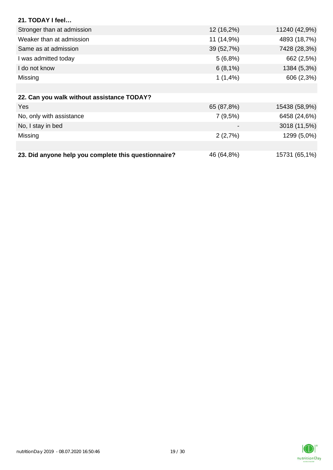| 21. TODAY I feel                                     |            |               |
|------------------------------------------------------|------------|---------------|
| Stronger than at admission                           | 12 (16,2%) | 11240 (42,9%) |
| Weaker than at admission                             | 11 (14,9%) | 4893 (18,7%)  |
| Same as at admission                                 | 39 (52,7%) | 7428 (28,3%)  |
| I was admitted today                                 | 5(6,8%)    | 662 (2,5%)    |
| I do not know                                        | 6(8,1%)    | 1384 (5,3%)   |
| Missing                                              | $1(1,4\%)$ | 606 (2,3%)    |
|                                                      |            |               |
| 22. Can you walk without assistance TODAY?           |            |               |
| <b>Yes</b>                                           | 65 (87,8%) | 15438 (58,9%) |
| No, only with assistance                             | 7(9,5%)    | 6458 (24,6%)  |
| No, I stay in bed                                    |            | 3018 (11,5%)  |
| Missing                                              | 2(2,7%)    | 1299 (5,0%)   |
|                                                      |            |               |
| 23. Did anyone help you complete this questionnaire? | 46 (64,8%) | 15731 (65,1%) |

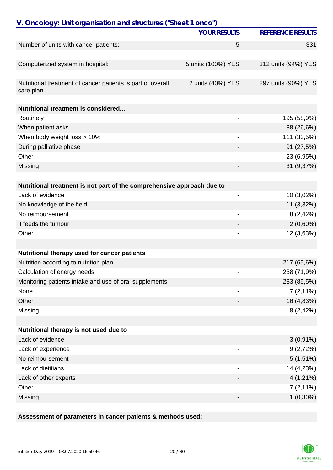| V. Oncology: Unit organisation and structures ("Sheet 1 onco")           |                     |                          |
|--------------------------------------------------------------------------|---------------------|--------------------------|
|                                                                          | <b>YOUR RESULTS</b> | <b>REFERENCE RESULTS</b> |
| Number of units with cancer patients:                                    | 5                   | 331                      |
|                                                                          |                     |                          |
| Computerized system in hospital:                                         | 5 units (100%) YES  | 312 units (94%) YES      |
|                                                                          |                     |                          |
| Nutritional treatment of cancer patients is part of overall<br>care plan | 2 units (40%) YES   | 297 units (90%) YES      |
| <b>Nutritional treatment is considered</b>                               |                     |                          |
| Routinely                                                                |                     | 195 (58,9%)              |
| When patient asks                                                        |                     | 88 (26,6%)               |
| When body weight loss > 10%                                              |                     | 111 (33,5%)              |
| During palliative phase                                                  |                     | 91 (27,5%)               |
| Other                                                                    |                     | 23 (6,95%)               |
| Missing                                                                  |                     | 31 (9,37%)               |
|                                                                          |                     |                          |
| Nutritional treatment is not part of the comprehensive approach due to   |                     |                          |
| Lack of evidence                                                         | $\overline{a}$      | 10 (3,02%)               |
| No knowledge of the field                                                |                     | 11 (3,32%)               |
| No reimbursement                                                         |                     | 8(2,42%)                 |
| It feeds the tumour                                                      |                     | $2(0,60\%)$              |
| Other                                                                    |                     | 12 (3,63%)               |
|                                                                          |                     |                          |
| Nutritional therapy used for cancer patients                             |                     |                          |
| Nutrition according to nutrition plan                                    |                     | 217 (65,6%)              |
| Calculation of energy needs                                              |                     | 238 (71,9%)              |
| Monitoring patients intake and use of oral supplements                   |                     | 283 (85,5%)              |
| None                                                                     |                     | $7(2,11\%)$              |
| Other                                                                    |                     | 16 (4,83%)               |
| Missing                                                                  |                     | 8(2,42%)                 |
|                                                                          |                     |                          |
| Nutritional therapy is not used due to                                   |                     |                          |
| Lack of evidence                                                         |                     | $3(0,91\%)$              |
| Lack of experience                                                       |                     | 9(2,72%)                 |
| No reimbursement                                                         |                     | $5(1,51\%)$              |
| Lack of dietitians                                                       |                     | 14 (4,23%)               |
| Lack of other experts                                                    |                     | $4(1,21\%)$              |
| Other                                                                    |                     | $7(2,11\%)$              |
| Missing                                                                  |                     | $1(0,30\%)$              |

### **Assessment of parameters in cancer patients & methods used:**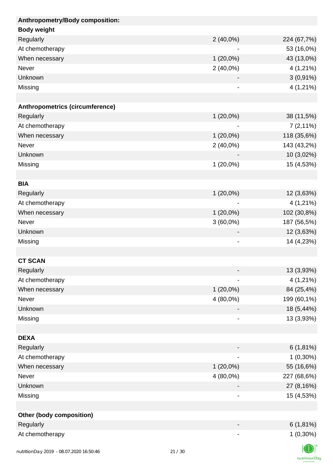| Anthropometry/Body composition: |             |             |
|---------------------------------|-------------|-------------|
| <b>Body weight</b>              |             |             |
| Regularly                       | $2(40,0\%)$ | 224 (67,7%) |
| At chemotherapy                 |             | 53 (16,0%)  |
| When necessary                  | $1(20,0\%)$ | 43 (13,0%)  |
| Never                           | $2(40,0\%)$ | 4 (1,21%)   |
| Unknown                         |             | $3(0,91\%)$ |
| Missing                         | -           | 4 (1,21%)   |
|                                 |             |             |
| Anthropometrics (circumference) |             |             |
| Regularly                       | $1(20,0\%)$ | 38 (11,5%)  |
| At chemotherapy                 |             | $7(2,11\%)$ |
| When necessary                  | $1(20,0\%)$ | 118 (35,6%) |
| Never                           | $2(40,0\%)$ | 143 (43,2%) |
| Unknown                         |             | 10 (3,02%)  |
| Missing                         | $1(20,0\%)$ | 15 (4,53%)  |
|                                 |             |             |
| <b>BIA</b>                      |             |             |
| Regularly                       | $1(20,0\%)$ | 12 (3,63%)  |
| At chemotherapy                 |             | $4(1,21\%)$ |
| When necessary                  | $1(20,0\%)$ | 102 (30,8%) |
| Never                           | $3(60,0\%)$ | 187 (56,5%) |
| Unknown                         |             | 12 (3,63%)  |
| Missing                         | -           | 14 (4,23%)  |
|                                 |             |             |
| <b>CT SCAN</b>                  |             |             |
| Regularly                       |             | 13 (3,93%)  |
| At chemotherapy                 |             | 4 (1,21%)   |
| When necessary                  | $1(20,0\%)$ | 84 (25,4%)  |
| Never                           | 4 (80,0%)   | 199 (60,1%) |
| Unknown                         |             | 18 (5,44%)  |
| Missing                         |             | 13 (3,93%)  |
|                                 |             |             |
| <b>DEXA</b>                     |             |             |
| Regularly                       |             | $6(1,81\%)$ |
| At chemotherapy                 |             | $1(0,30\%)$ |
| When necessary                  | $1(20,0\%)$ | 55 (16,6%)  |
| Never                           | 4 (80,0%)   | 227 (68,6%) |
| Unknown                         |             | 27 (8,16%)  |
| Missing                         | -           | 15 (4,53%)  |
|                                 |             |             |
| <b>Other (body composition)</b> |             |             |
| Regularly                       |             | $6(1,81\%)$ |
| At chemotherapy                 |             | $1(0,30\%)$ |
|                                 |             | $\sqrt{2}$  |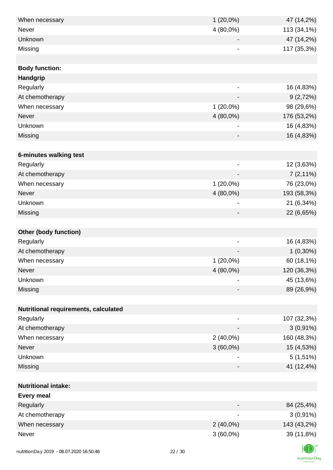| When necessary                       | $1(20,0\%)$                  | 47 (14,2%)  |
|--------------------------------------|------------------------------|-------------|
| Never                                | 4 (80,0%)                    | 113 (34,1%) |
| Unknown                              |                              | 47 (14,2%)  |
| Missing                              | $\qquad \qquad \blacksquare$ | 117 (35,3%) |
|                                      |                              |             |
| <b>Body function:</b>                |                              |             |
| Handgrip                             |                              |             |
| Regularly                            |                              | 16 (4,83%)  |
| At chemotherapy                      |                              | 9(2,72%)    |
| When necessary                       | $1(20,0\%)$                  | 98 (29,6%)  |
| <b>Never</b>                         | 4 (80,0%)                    | 176 (53,2%) |
| Unknown                              |                              | 16 (4,83%)  |
| Missing                              |                              | 16 (4,83%)  |
|                                      |                              |             |
| 6-minutes walking test               |                              |             |
| Regularly                            |                              | 12 (3,63%)  |
| At chemotherapy                      |                              | $7(2,11\%)$ |
| When necessary                       | $1(20,0\%)$                  | 76 (23,0%)  |
| <b>Never</b>                         | $4(80,0\%)$                  | 193 (58,3%) |
| Unknown                              | $\qquad \qquad \blacksquare$ | 21 (6,34%)  |
| Missing                              |                              | 22 (6,65%)  |
|                                      |                              |             |
| <b>Other (body function)</b>         |                              |             |
| Regularly                            |                              | 16 (4,83%)  |
| At chemotherapy                      |                              | $1(0,30\%)$ |
| When necessary                       | $1(20,0\%)$                  | 60 (18,1%)  |
| Never                                | 4 (80,0%)                    | 120 (36,3%) |
| Unknown                              | $\overline{\phantom{a}}$     | 45 (13,6%)  |
| Missing                              |                              | 89 (26,9%)  |
|                                      |                              |             |
| Nutritional requirements, calculated |                              |             |
| Regularly                            |                              | 107 (32,3%) |
| At chemotherapy                      |                              | $3(0,91\%)$ |
| When necessary                       | $2(40,0\%)$                  | 160 (48,3%) |
| <b>Never</b>                         | $3(60,0\%)$                  | 15 (4,53%)  |
| Unknown                              |                              | $5(1,51\%)$ |
| Missing                              |                              | 41 (12,4%)  |
|                                      |                              |             |
| <b>Nutritional intake:</b>           |                              |             |
| <b>Every meal</b>                    |                              |             |
| Regularly                            |                              | 84 (25,4%)  |
| At chemotherapy                      | $\qquad \qquad \blacksquare$ | $3(0,91\%)$ |
| When necessary                       | $2(40,0\%)$                  | 143 (43,2%) |
| Never                                | $3(60,0\%)$                  | 39 (11,8%)  |
|                                      |                              |             |

K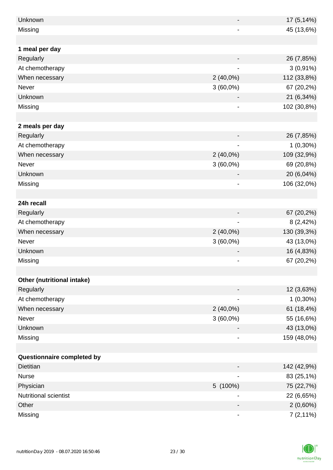| Unknown                    |                | $17(5, 14\%)$ |
|----------------------------|----------------|---------------|
| Missing                    |                | 45 (13,6%)    |
|                            |                |               |
| 1 meal per day             |                |               |
| Regularly                  |                | 26 (7,85%)    |
| At chemotherapy            |                | $3(0,91\%)$   |
| When necessary             | $2(40,0\%)$    | 112 (33,8%)   |
| Never                      | $3(60,0\%)$    | 67 (20,2%)    |
| Unknown                    |                | 21 (6,34%)    |
| Missing                    |                | 102 (30,8%)   |
|                            |                |               |
| 2 meals per day            |                |               |
| Regularly                  |                | 26 (7,85%)    |
| At chemotherapy            |                | $1(0,30\%)$   |
| When necessary             | $2(40,0\%)$    | 109 (32,9%)   |
| Never                      | $3(60,0\%)$    | 69 (20,8%)    |
| Unknown                    |                | 20 (6,04%)    |
| Missing                    |                | 106 (32,0%)   |
|                            |                |               |
| 24h recall                 |                |               |
| Regularly                  |                | 67 (20,2%)    |
| At chemotherapy            | $\blacksquare$ | 8(2,42%)      |
| When necessary             | $2(40,0\%)$    | 130 (39,3%)   |
| Never                      | $3(60,0\%)$    | 43 (13,0%)    |
| Unknown                    |                | 16 (4,83%)    |
|                            |                |               |
| Missing                    |                | 67 (20,2%)    |
|                            |                |               |
| Other (nutritional intake) |                |               |
| Regularly                  |                | 12 (3,63%)    |
| At chemotherapy            |                | $1(0,30\%)$   |
| When necessary             | $2(40,0\%)$    | 61 (18,4%)    |
| Never                      | $3(60,0\%)$    | 55 (16,6%)    |
| Unknown                    |                | 43 (13,0%)    |
| Missing                    |                | 159 (48,0%)   |
|                            |                |               |
| Questionnaire completed by |                |               |
| <b>Dietitian</b>           |                | 142 (42,9%)   |
| <b>Nurse</b>               |                | 83 (25,1%)    |
| Physician                  | 5 (100%)       | 75 (22,7%)    |
| Nutritional scientist      |                | 22 (6,65%)    |
| Other                      |                | $2(0,60\%)$   |
| Missing                    |                | $7(2,11\%)$   |

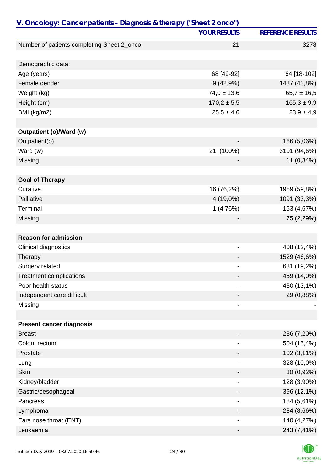| V. Oncology: Cancer patients - Diagnosis & therapy ("Sheet 2 onco") |                              |                          |
|---------------------------------------------------------------------|------------------------------|--------------------------|
|                                                                     | <b>YOUR RESULTS</b>          | <b>REFERENCE RESULTS</b> |
| Number of patients completing Sheet 2_onco:                         | 21                           | 3278                     |
|                                                                     |                              |                          |
| Demographic data:                                                   |                              |                          |
| Age (years)                                                         | 68 [49-92]                   | 64 [18-102]              |
| Female gender                                                       | 9(42,9%)                     | 1437 (43,8%)             |
| Weight (kg)                                                         | $74,0 \pm 13,6$              | $65,7 \pm 16,5$          |
| Height (cm)                                                         | $170,2 \pm 5,5$              | $165,3 \pm 9,9$          |
| BMI (kg/m2)                                                         | $25,5 \pm 4,6$               | $23,9 \pm 4,9$           |
|                                                                     |                              |                          |
| Outpatient (o)/Ward (w)                                             |                              |                          |
| Outpatient(o)                                                       | $\qquad \qquad \blacksquare$ | 166 (5,06%)              |
| Ward (w)                                                            | 21 (100%)                    | 3101 (94,6%)             |
| Missing                                                             |                              | 11 (0,34%)               |
| <b>Goal of Therapy</b>                                              |                              |                          |
| Curative                                                            | 16 (76,2%)                   | 1959 (59,8%)             |
| Palliative                                                          | 4 (19,0%)                    | 1091 (33,3%)             |
| Terminal                                                            | 1(4,76%)                     | 153 (4,67%)              |
| Missing                                                             |                              | 75 (2,29%)               |
|                                                                     |                              |                          |
| <b>Reason for admission</b>                                         |                              |                          |
| Clinical diagnostics                                                | ۰                            | 408 (12,4%)              |
| Therapy                                                             |                              | 1529 (46,6%)             |
| Surgery related                                                     |                              | 631 (19,2%)              |
| <b>Treatment complications</b>                                      |                              | 459 (14,0%)              |
| Poor health status                                                  |                              | 430 (13,1%)              |
| Independent care difficult                                          |                              | 29 (0,88%)               |
| Missing                                                             | -                            |                          |
|                                                                     |                              |                          |
| <b>Present cancer diagnosis</b>                                     |                              |                          |
| <b>Breast</b>                                                       |                              | 236 (7,20%)              |
| Colon, rectum                                                       |                              | 504 (15,4%)              |
| Prostate                                                            |                              | 102 (3,11%)              |
| Lung                                                                |                              | 328 (10,0%)              |
| <b>Skin</b>                                                         |                              | 30 (0,92%)               |
| Kidney/bladder                                                      | -                            | 128 (3,90%)              |
| Gastric/oesophageal                                                 |                              | 396 (12,1%)              |
| Pancreas                                                            |                              | 184 (5,61%)              |
| Lymphoma                                                            |                              | 284 (8,66%)              |
| Ears nose throat (ENT)                                              |                              | 140 (4,27%)              |
| Leukaemia                                                           |                              | 243 (7,41%)              |

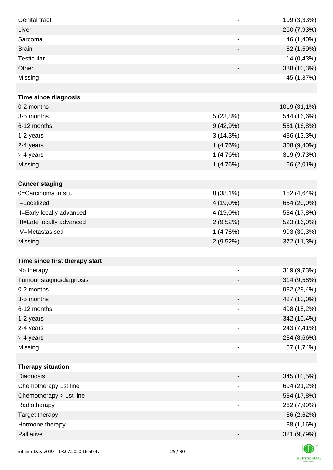| <b>Genital tract</b>           | $\overline{\phantom{a}}$     | 109 (3,33%)  |
|--------------------------------|------------------------------|--------------|
| Liver                          | $\overline{\phantom{a}}$     | 260 (7,93%)  |
| Sarcoma                        | $\qquad \qquad \blacksquare$ | 46 (1,40%)   |
| <b>Brain</b>                   | $\overline{\phantom{a}}$     | 52 (1,59%)   |
| Testicular                     | $\overline{\phantom{a}}$     | 14 (0,43%)   |
| Other                          |                              | 338 (10,3%)  |
| Missing                        | $\qquad \qquad \blacksquare$ | 45 (1,37%)   |
|                                |                              |              |
| <b>Time since diagnosis</b>    |                              |              |
| 0-2 months                     | $\overline{\phantom{a}}$     | 1019 (31,1%) |
| 3-5 months                     | 5(23,8%)                     | 544 (16,6%)  |
| 6-12 months                    | 9(42,9%)                     | 551 (16,8%)  |
| 1-2 years                      | 3(14,3%)                     | 436 (13,3%)  |
| 2-4 years                      | 1(4,76%)                     | 308 (9,40%)  |
| > 4 years                      | 1(4,76%)                     | 319 (9,73%)  |
| Missing                        | 1(4,76%)                     | 66 (2,01%)   |
|                                |                              |              |
| <b>Cancer staging</b>          |                              |              |
| 0=Carcinoma in situ            | $8(38,1\%)$                  | 152 (4,64%)  |
| <b>I=Localized</b>             | 4 (19,0%)                    | 654 (20,0%)  |
| II=Early locally advanced      | 4 (19,0%)                    | 584 (17,8%)  |
| III=Late locally advanced      | 2(9,52%)                     | 523 (16,0%)  |
| IV=Metastasised                | 1(4,76%)                     | 993 (30,3%)  |
| <b>Missing</b>                 | 2(9,52%)                     | 372 (11,3%)  |
|                                |                              |              |
| Time since first therapy start |                              |              |
| No therapy                     |                              | 319 (9,73%)  |
| Tumour staging/diagnosis       |                              | 314 (9,58%)  |
| 0-2 months                     |                              | 932 (28,4%)  |
| 3-5 months                     |                              | 427 (13,0%)  |
| 6-12 months                    | -                            | 498 (15,2%)  |
| 1-2 years                      |                              | 342 (10,4%)  |
| 2-4 years                      | $\overline{\phantom{a}}$     | 243 (7,41%)  |
| > 4 years                      | -                            | 284 (8,66%)  |
| Missing                        | $\overline{\phantom{a}}$     | 57 (1,74%)   |
|                                |                              |              |
| <b>Therapy situation</b>       |                              |              |
| Diagnosis                      | -                            | 345 (10,5%)  |
| Chemotherapy 1st line          |                              | 694 (21,2%)  |
| Chemotherapy > 1st line        |                              | 584 (17,8%)  |
| Radiotherapy                   | $\overline{\phantom{a}}$     | 262 (7,99%)  |
| Target therapy                 | -                            | 86 (2,62%)   |
| Hormone therapy                | $\qquad \qquad \blacksquare$ | 38 (1,16%)   |
| Palliative                     | -                            | 321 (9,79%)  |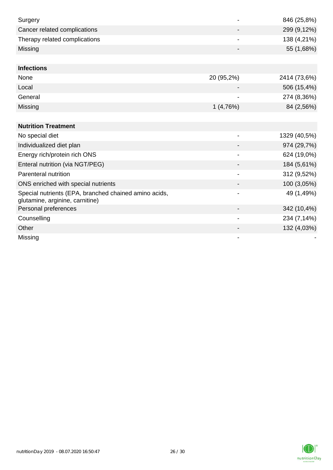| Surgery                                                                                  |                          | 846 (25,8%)  |
|------------------------------------------------------------------------------------------|--------------------------|--------------|
| Cancer related complications                                                             |                          | 299 (9,12%)  |
| Therapy related complications                                                            |                          | 138 (4,21%)  |
| Missing                                                                                  |                          | 55 (1,68%)   |
|                                                                                          |                          |              |
| <b>Infections</b>                                                                        |                          |              |
| None                                                                                     | 20 (95,2%)               | 2414 (73,6%) |
| Local                                                                                    |                          | 506 (15,4%)  |
| General                                                                                  |                          | 274 (8,36%)  |
| Missing                                                                                  | 1(4,76%)                 | 84 (2,56%)   |
|                                                                                          |                          |              |
| <b>Nutrition Treatment</b>                                                               |                          |              |
| No special diet                                                                          |                          | 1329 (40,5%) |
| Individualized diet plan                                                                 |                          | 974 (29,7%)  |
| Energy rich/protein rich ONS                                                             | $\blacksquare$           | 624 (19,0%)  |
| Enteral nutrition (via NGT/PEG)                                                          |                          | 184 (5,61%)  |
| Parenteral nutrition                                                                     |                          | 312 (9,52%)  |
| ONS enriched with special nutrients                                                      |                          | 100 (3,05%)  |
| Special nutrients (EPA, branched chained amino acids,<br>glutamine, arginine, carnitine) |                          | 49 (1,49%)   |
| Personal preferences                                                                     |                          | 342 (10,4%)  |
| Counselling                                                                              | $\overline{\phantom{a}}$ | 234 (7,14%)  |
| Other                                                                                    |                          | 132 (4,03%)  |
| Missing                                                                                  |                          |              |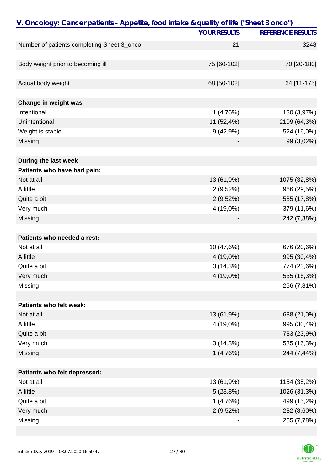| V. Oncology: Cancer patients - Appetite, food intake & quality of life ("Sheet 3 onco") |                     |                          |
|-----------------------------------------------------------------------------------------|---------------------|--------------------------|
|                                                                                         | <b>YOUR RESULTS</b> | <b>REFERENCE RESULTS</b> |
| Number of patients completing Sheet 3_onco:                                             | 21                  | 3248                     |
|                                                                                         |                     |                          |
| Body weight prior to becoming ill                                                       | 75 [60-102]         | 70 [20-180]              |
| Actual body weight                                                                      | 68 [50-102]         | 64 [11-175]              |
|                                                                                         |                     |                          |
| Change in weight was                                                                    |                     |                          |
| Intentional                                                                             | 1(4,76%)            | 130 (3,97%)              |
| Unintentional                                                                           | 11 (52,4%)          | 2109 (64,3%)             |
| Weight is stable                                                                        | 9(42,9%)            | 524 (16,0%)              |
| Missing                                                                                 |                     | 99 (3,02%)               |
| During the last week                                                                    |                     |                          |
| Patients who have had pain:                                                             |                     |                          |
| Not at all                                                                              | 13 (61,9%)          | 1075 (32,8%)             |
| A little                                                                                | 2(9,52%)            | 966 (29,5%)              |
| Quite a bit                                                                             | 2(9,52%)            | 585 (17,8%)              |
| Very much                                                                               | 4 (19,0%)           | 379 (11,6%)              |
| Missing                                                                                 |                     | 242 (7,38%)              |
| Patients who needed a rest:                                                             |                     |                          |
| Not at all                                                                              | 10 (47,6%)          | 676 (20,6%)              |
| A little                                                                                | 4 (19,0%)           | 995 (30,4%)              |
| Quite a bit                                                                             | $3(14,3\%)$         | 774 (23,6%)              |
| Very much                                                                               | 4 (19,0%)           | 535 (16,3%)              |
| Missing                                                                                 |                     | 256 (7,81%)              |
|                                                                                         |                     |                          |
| Patients who felt weak:                                                                 |                     |                          |
| Not at all                                                                              | 13 (61,9%)          | 688 (21,0%)              |
| A little                                                                                | 4 (19,0%)           | 995 (30,4%)              |
| Quite a bit                                                                             |                     | 783 (23,9%)              |
| Very much                                                                               | $3(14,3\%)$         | 535 (16,3%)              |
| Missing                                                                                 | 1(4,76%)            | 244 (7,44%)              |
| Patients who felt depressed:                                                            |                     |                          |
| Not at all                                                                              | 13 (61,9%)          | 1154 (35,2%)             |
| A little                                                                                | 5(23,8%)            | 1026 (31,3%)             |
| Quite a bit                                                                             | 1(4,76%)            | 499 (15,2%)              |
| Very much                                                                               | $2(9,52\%)$         | 282 (8,60%)              |
| Missing                                                                                 |                     | 255 (7,78%)              |

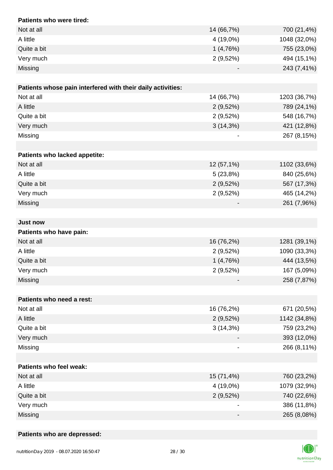| Patients who were tired:                                    |             |              |
|-------------------------------------------------------------|-------------|--------------|
| Not at all                                                  | 14 (66,7%)  | 700 (21,4%)  |
| A little                                                    | 4 (19,0%)   | 1048 (32,0%) |
| Quite a bit                                                 | 1(4,76%)    | 755 (23,0%)  |
| Very much                                                   | 2(9,52%)    | 494 (15,1%)  |
| Missing                                                     |             | 243 (7,41%)  |
|                                                             |             |              |
| Patients whose pain interfered with their daily activities: |             |              |
| Not at all                                                  | 14 (66,7%)  | 1203 (36,7%) |
| A little                                                    | $2(9,52\%)$ | 789 (24,1%)  |
| Quite a bit                                                 | 2(9,52%)    | 548 (16,7%)  |
| Very much                                                   | 3(14,3%)    | 421 (12,8%)  |
| Missing                                                     |             | 267 (8,15%)  |
|                                                             |             |              |
| Patients who lacked appetite:                               |             |              |
| Not at all                                                  | 12 (57,1%)  | 1102 (33,6%) |
| A little                                                    | 5(23,8%)    | 840 (25,6%)  |
| Quite a bit                                                 | 2(9,52%)    | 567 (17,3%)  |
| Very much                                                   | 2(9,52%)    | 465 (14,2%)  |
| Missing                                                     |             | 261 (7,96%)  |
|                                                             |             |              |
| <b>Just now</b>                                             |             |              |
| Patients who have pain:                                     |             |              |
| Not at all                                                  | 16 (76,2%)  | 1281 (39,1%) |
| A little                                                    | 2(9,52%)    | 1090 (33,3%) |
| Quite a bit                                                 | 1(4,76%)    | 444 (13,5%)  |
| Very much                                                   | 2(9,52%)    | 167 (5,09%)  |
| Missing                                                     |             | 258 (7,87%)  |
|                                                             |             |              |
| Patients who need a rest:                                   |             |              |
| Not at all                                                  | 16 (76,2%)  | 671 (20,5%)  |
| A little                                                    | 2(9,52%)    | 1142 (34,8%) |
| Quite a bit                                                 | 3(14,3%)    | 759 (23,2%)  |
| Very much                                                   |             | 393 (12,0%)  |
| Missing                                                     |             | 266 (8,11%)  |
|                                                             |             |              |
| <b>Patients who feel weak:</b>                              |             |              |
| Not at all                                                  | 15 (71,4%)  | 760 (23,2%)  |
| A little                                                    | 4 (19,0%)   | 1079 (32,9%) |
| Quite a bit                                                 | 2(9,52%)    | 740 (22,6%)  |
| Very much                                                   |             | 386 (11,8%)  |
|                                                             |             | 265 (8,08%)  |

### **Patients who are depressed:**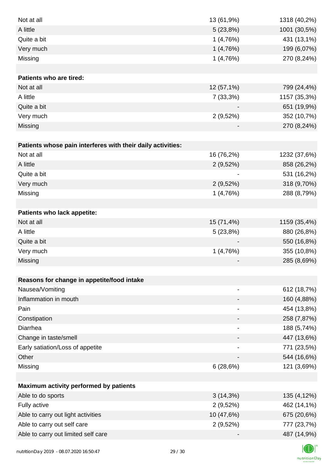| Not at all                                                  | 13 (61,9%)                   | 1318 (40,2%) |
|-------------------------------------------------------------|------------------------------|--------------|
| A little                                                    | 5(23,8%)                     | 1001 (30,5%) |
| Quite a bit                                                 | 1(4,76%)                     | 431 (13,1%)  |
| Very much                                                   | 1(4,76%)                     | 199 (6,07%)  |
| Missing                                                     | 1(4,76%)                     | 270 (8,24%)  |
|                                                             |                              |              |
| <b>Patients who are tired:</b>                              |                              |              |
| Not at all                                                  | 12 (57,1%)                   | 799 (24,4%)  |
| A little                                                    | 7(33,3%)                     | 1157 (35,3%) |
| Quite a bit                                                 |                              | 651 (19,9%)  |
| Very much                                                   | 2(9,52%)                     | 352 (10,7%)  |
| Missing                                                     |                              | 270 (8,24%)  |
|                                                             |                              |              |
| Patients whose pain interferes with their daily activities: |                              |              |
| Not at all                                                  | 16 (76,2%)                   | 1232 (37,6%) |
| A little                                                    | 2(9,52%)                     | 858 (26,2%)  |
| Quite a bit                                                 |                              | 531 (16,2%)  |
| Very much                                                   | $2(9,52\%)$                  | 318 (9,70%)  |
| Missing                                                     | 1(4,76%)                     | 288 (8,79%)  |
|                                                             |                              |              |
| Patients who lack appetite:                                 |                              |              |
| Not at all                                                  | 15 (71,4%)                   | 1159 (35,4%) |
| A little                                                    | 5(23,8%)                     | 880 (26,8%)  |
| Quite a bit                                                 |                              | 550 (16,8%)  |
| Very much                                                   | 1(4,76%)                     | 355 (10,8%)  |
| Missing                                                     |                              | 285 (8,69%)  |
|                                                             |                              |              |
| Reasons for change in appetite/food intake                  |                              |              |
| Nausea/Vomiting                                             |                              | 612 (18,7%)  |
| Inflammation in mouth                                       |                              | 160 (4,88%)  |
| Pain                                                        |                              | 454 (13,8%)  |
| Constipation                                                |                              | 258 (7,87%)  |
| Diarrhea                                                    | $\qquad \qquad \blacksquare$ | 188 (5,74%)  |
| Change in taste/smell                                       |                              | 447 (13,6%)  |
| Early satiation/Loss of appetite                            |                              | 771 (23,5%)  |
| Other                                                       |                              | 544 (16,6%)  |
| Missing                                                     | 6(28,6%)                     | 121 (3,69%)  |
|                                                             |                              |              |
| Maximum activity performed by patients                      |                              |              |
| Able to do sports                                           | $3(14,3\%)$                  | 135 (4,12%)  |
| Fully active                                                | 2(9,52%)                     | 462 (14,1%)  |
| Able to carry out light activities                          | 10 (47,6%)                   | 675 (20,6%)  |
| Able to carry out self care                                 | 2(9,52%)                     | 777 (23,7%)  |
| Able to carry out limited self care                         |                              | 487 (14,9%)  |
|                                                             |                              |              |